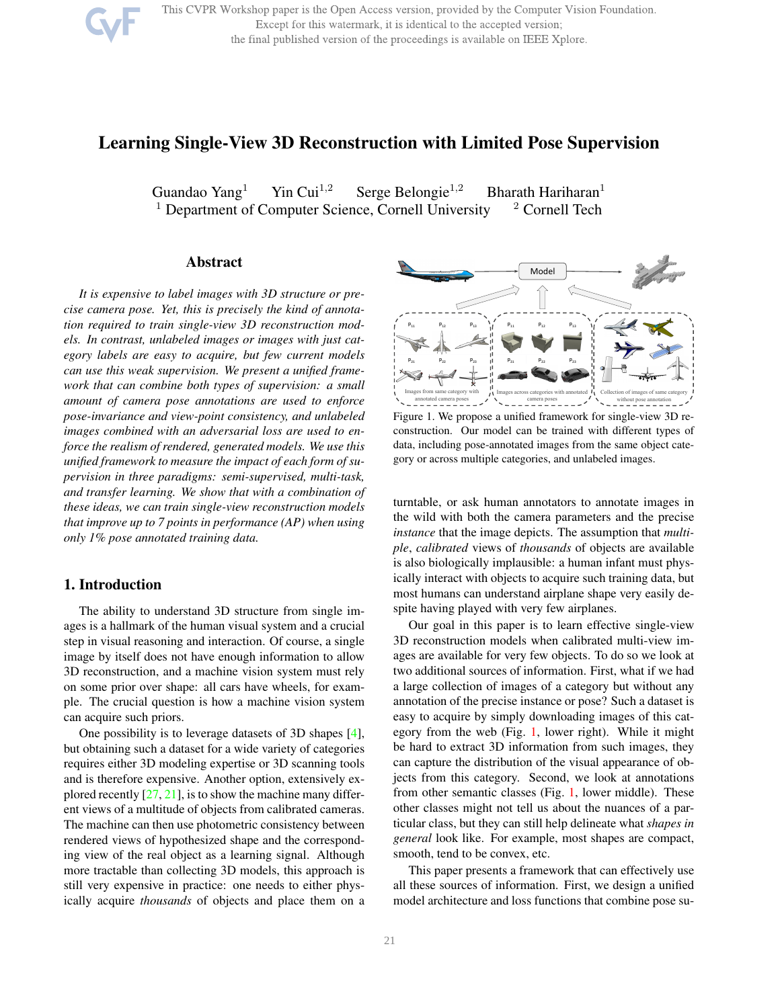

# Learning Single-View 3D Reconstruction with Limited Pose Supervision

Guandao Yang<sup>1</sup> Yin Cui<sup>1,2</sup> Serge Belongie<sup>1,2</sup> Bharath Hariharan<sup>1</sup><br><sup>1</sup> Department of Computer Science, Cornell University <sup>2</sup> Cornell Tech  $<sup>1</sup>$  Department of Computer Science, Cornell University</sup>

### Abstract

*It is expensive to label images with 3D structure or precise camera pose. Yet, this is precisely the kind of annotation required to train single-view 3D reconstruction models. In contrast, unlabeled images or images with just category labels are easy to acquire, but few current models can use this weak supervision. We present a unified framework that can combine both types of supervision: a small amount of camera pose annotations are used to enforce pose-invariance and view-point consistency, and unlabeled images combined with an adversarial loss are used to enforce the realism of rendered, generated models. We use this unified framework to measure the impact of each form of supervision in three paradigms: semi-supervised, multi-task, and transfer learning. We show that with a combination of these ideas, we can train single-view reconstruction models that improve up to 7 points in performance (AP) when using only 1% pose annotated training data.*

### 1. Introduction

The ability to understand 3D structure from single images is a hallmark of the human visual system and a crucial step in visual reasoning and interaction. Of course, a single image by itself does not have enough information to allow 3D reconstruction, and a machine vision system must rely on some prior over shape: all cars have wheels, for example. The crucial question is how a machine vision system can acquire such priors.

One possibility is to leverage datasets of 3D shapes [4], but obtaining such a dataset for a wide variety of categories requires either 3D modeling expertise or 3D scanning tools and is therefore expensive. Another option, extensively explored recently [27, 21], is to show the machine many different views of a multitude of objects from calibrated cameras. The machine can then use photometric consistency between rendered views of hypothesized shape and the corresponding view of the real object as a learning signal. Although more tractable than collecting 3D models, this approach is still very expensive in practice: one needs to either physically acquire *thousands* of objects and place them on a



Figure 1. We propose a unified framework for single-view 3D reconstruction. Our model can be trained with different types of data, including pose-annotated images from the same object category or across multiple categories, and unlabeled images.

turntable, or ask human annotators to annotate images in the wild with both the camera parameters and the precise *instance* that the image depicts. The assumption that *multiple*, *calibrated* views of *thousands* of objects are available is also biologically implausible: a human infant must physically interact with objects to acquire such training data, but most humans can understand airplane shape very easily despite having played with very few airplanes.

Our goal in this paper is to learn effective single-view 3D reconstruction models when calibrated multi-view images are available for very few objects. To do so we look at two additional sources of information. First, what if we had a large collection of images of a category but without any annotation of the precise instance or pose? Such a dataset is easy to acquire by simply downloading images of this category from the web (Fig. 1, lower right). While it might be hard to extract 3D information from such images, they can capture the distribution of the visual appearance of objects from this category. Second, we look at annotations from other semantic classes (Fig. 1, lower middle). These other classes might not tell us about the nuances of a particular class, but they can still help delineate what *shapes in general* look like. For example, most shapes are compact, smooth, tend to be convex, etc.

This paper presents a framework that can effectively use all these sources of information. First, we design a unified model architecture and loss functions that combine pose su-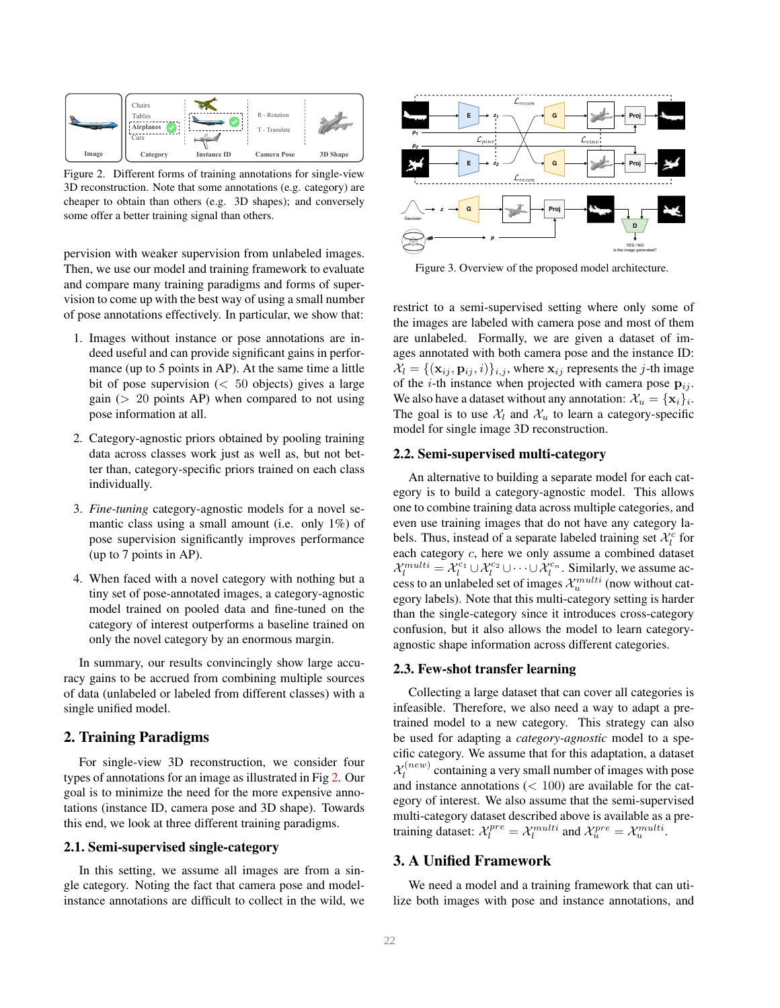

Figure 2. Different forms of training annotations for single-view 3D reconstruction. Note that some annotations (e.g. category) are cheaper to obtain than others (e.g. 3D shapes); and conversely some offer a better training signal than others.

pervision with weaker supervision from unlabeled images. Then, we use our model and training framework to evaluate and compare many training paradigms and forms of supervision to come up with the best way of using a small number of pose annotations effectively. In particular, we show that:

- 1. Images without instance or pose annotations are indeed useful and can provide significant gains in performance (up to 5 points in AP). At the same time a little bit of pose supervision  $\left( < 50 \right)$  objects) gives a large gain ( $> 20$  points AP) when compared to not using pose information at all.
- 2. Category-agnostic priors obtained by pooling training data across classes work just as well as, but not better than, category-specific priors trained on each class individually.
- 3. *Fine-tuning* category-agnostic models for a novel semantic class using a small amount (i.e. only 1%) of pose supervision significantly improves performance (up to 7 points in AP).
- 4. When faced with a novel category with nothing but a tiny set of pose-annotated images, a category-agnostic model trained on pooled data and fine-tuned on the category of interest outperforms a baseline trained on only the novel category by an enormous margin.

In summary, our results convincingly show large accuracy gains to be accrued from combining multiple sources of data (unlabeled or labeled from different classes) with a single unified model.

# 2. Training Paradigms

For single-view 3D reconstruction, we consider four types of annotations for an image as illustrated in Fig 2. Our goal is to minimize the need for the more expensive annotations (instance ID, camera pose and 3D shape). Towards this end, we look at three different training paradigms.

### 2.1. Semi-supervised single-category

In this setting, we assume all images are from a single category. Noting the fact that camera pose and modelinstance annotations are difficult to collect in the wild, we



Figure 3. Overview of the proposed model architecture.

restrict to a semi-supervised setting where only some of the images are labeled with camera pose and most of them are unlabeled. Formally, we are given a dataset of images annotated with both camera pose and the instance ID:  $X_l = \{(\mathbf{x}_{ij}, \mathbf{p}_{ij}, i)\}_{i,j}$ , where  $\mathbf{x}_{ij}$  represents the j-th image of the *i*-th instance when projected with camera pose  $p_{ij}$ . We also have a dataset without any annotation:  $\mathcal{X}_u = \{\mathbf{x}_i\}_i.$ The goal is to use  $\mathcal{X}_l$  and  $\mathcal{X}_u$  to learn a category-specific model for single image 3D reconstruction.

### 2.2. Semi-supervised multi-category

An alternative to building a separate model for each category is to build a category-agnostic model. This allows one to combine training data across multiple categories, and even use training images that do not have any category labels. Thus, instead of a separate labeled training set  $\mathcal{X}_l^c$  for each category c, here we only assume a combined dataset  $\mathcal{X}_l^{multi} = \mathcal{X}_l^{c_1} \cup \mathcal{X}_l^{c_2} \cup \cdots \cup \mathcal{X}_l^{c_n}$ . Similarly, we assume access to an unlabeled set of images  $\mathcal{X}_u^{multi}$  (now without category labels). Note that this multi-category setting is harder than the single-category since it introduces cross-category confusion, but it also allows the model to learn categoryagnostic shape information across different categories.

#### 2.3. Few-shot transfer learning

Collecting a large dataset that can cover all categories is infeasible. Therefore, we also need a way to adapt a pretrained model to a new category. This strategy can also be used for adapting a *category-agnostic* model to a specific category. We assume that for this adaptation, a dataset  $\mathcal{X}_{l}^{(new)}$  $l_l^{(new)}$  containing a very small number of images with pose and instance annotations  $(< 100$ ) are available for the category of interest. We also assume that the semi-supervised multi-category dataset described above is available as a pretraining dataset:  $\mathcal{X}_l^{pre} = \mathcal{X}_l^{multi}$  and  $\mathcal{X}_u^{pre} = \mathcal{X}_u^{multi}$ .

# 3. A Unified Framework

We need a model and a training framework that can utilize both images with pose and instance annotations, and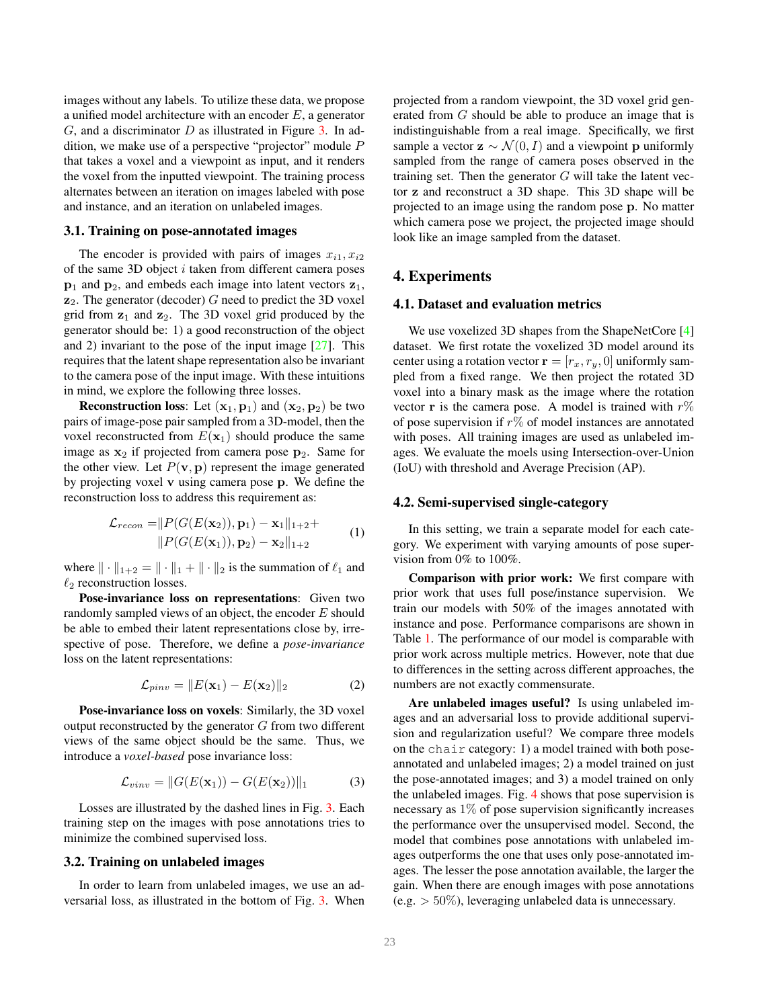images without any labels. To utilize these data, we propose a unified model architecture with an encoder E, a generator  $G$ , and a discriminator  $D$  as illustrated in Figure 3. In addition, we make use of a perspective "projector" module P that takes a voxel and a viewpoint as input, and it renders the voxel from the inputted viewpoint. The training process alternates between an iteration on images labeled with pose and instance, and an iteration on unlabeled images.

#### 3.1. Training on pose-annotated images

The encoder is provided with pairs of images  $x_{i1}, x_{i2}$ of the same 3D object  $i$  taken from different camera poses  $p_1$  and  $p_2$ , and embeds each image into latent vectors  $z_1$ ,  $z_2$ . The generator (decoder) G need to predict the 3D voxel grid from  $z_1$  and  $z_2$ . The 3D voxel grid produced by the generator should be: 1) a good reconstruction of the object and 2) invariant to the pose of the input image  $[27]$ . This requires that the latent shape representation also be invariant to the camera pose of the input image. With these intuitions in mind, we explore the following three losses.

**Reconstruction loss:** Let  $(x_1, p_1)$  and  $(x_2, p_2)$  be two pairs of image-pose pair sampled from a 3D-model, then the voxel reconstructed from  $E(\mathbf{x}_1)$  should produce the same image as  $x_2$  if projected from camera pose  $p_2$ . Same for the other view. Let  $P(\mathbf{v}, \mathbf{p})$  represent the image generated by projecting voxel v using camera pose p. We define the reconstruction loss to address this requirement as:

$$
\mathcal{L}_{recon} = ||P(G(E(\mathbf{x}_2)), \mathbf{p}_1) - \mathbf{x}_1||_{1+2} + ||P(G(E(\mathbf{x}_1)), \mathbf{p}_2) - \mathbf{x}_2||_{1+2}
$$
 (1)

where  $\|\cdot\|_{1+2} = \|\cdot\|_1 + \|\cdot\|_2$  is the summation of  $\ell_1$  and  $\ell_2$  reconstruction losses.

Pose-invariance loss on representations: Given two randomly sampled views of an object, the encoder  $E$  should be able to embed their latent representations close by, irrespective of pose. Therefore, we define a *pose-invariance* loss on the latent representations:

$$
\mathcal{L}_{pinv} = \|E(\mathbf{x}_1) - E(\mathbf{x}_2)\|_2 \tag{2}
$$

Pose-invariance loss on voxels: Similarly, the 3D voxel output reconstructed by the generator  $G$  from two different views of the same object should be the same. Thus, we introduce a *voxel-based* pose invariance loss:

$$
\mathcal{L}_{vinv} = ||G(E(\mathbf{x}_1)) - G(E(\mathbf{x}_2))||_1 \tag{3}
$$

Losses are illustrated by the dashed lines in Fig. 3. Each training step on the images with pose annotations tries to minimize the combined supervised loss.

#### 3.2. Training on unlabeled images

In order to learn from unlabeled images, we use an adversarial loss, as illustrated in the bottom of Fig. 3. When projected from a random viewpoint, the 3D voxel grid generated from G should be able to produce an image that is indistinguishable from a real image. Specifically, we first sample a vector  $z \sim \mathcal{N}(0, I)$  and a viewpoint p uniformly sampled from the range of camera poses observed in the training set. Then the generator  $G$  will take the latent vector z and reconstruct a 3D shape. This 3D shape will be projected to an image using the random pose p. No matter which camera pose we project, the projected image should look like an image sampled from the dataset.

### 4. Experiments

#### 4.1. Dataset and evaluation metrics

We use voxelized 3D shapes from the ShapeNetCore [4] dataset. We first rotate the voxelized 3D model around its center using a rotation vector  $\mathbf{r} = [r_x, r_y, 0]$  uniformly sampled from a fixed range. We then project the rotated 3D voxel into a binary mask as the image where the rotation vector r is the camera pose. A model is trained with  $r\%$ of pose supervision if  $r\%$  of model instances are annotated with poses. All training images are used as unlabeled images. We evaluate the moels using Intersection-over-Union (IoU) with threshold and Average Precision (AP).

#### 4.2. Semi-supervised single-category

In this setting, we train a separate model for each category. We experiment with varying amounts of pose supervision from 0% to 100%.

Comparison with prior work: We first compare with prior work that uses full pose/instance supervision. We train our models with 50% of the images annotated with instance and pose. Performance comparisons are shown in Table 1. The performance of our model is comparable with prior work across multiple metrics. However, note that due to differences in the setting across different approaches, the numbers are not exactly commensurate.

Are unlabeled images useful? Is using unlabeled images and an adversarial loss to provide additional supervision and regularization useful? We compare three models on the chair category: 1) a model trained with both poseannotated and unlabeled images; 2) a model trained on just the pose-annotated images; and 3) a model trained on only the unlabeled images. Fig. 4 shows that pose supervision is necessary as  $1\%$  of pose supervision significantly increases the performance over the unsupervised model. Second, the model that combines pose annotations with unlabeled images outperforms the one that uses only pose-annotated images. The lesser the pose annotation available, the larger the gain. When there are enough images with pose annotations  $(e.g. > 50\%)$ , leveraging unlabeled data is unnecessary.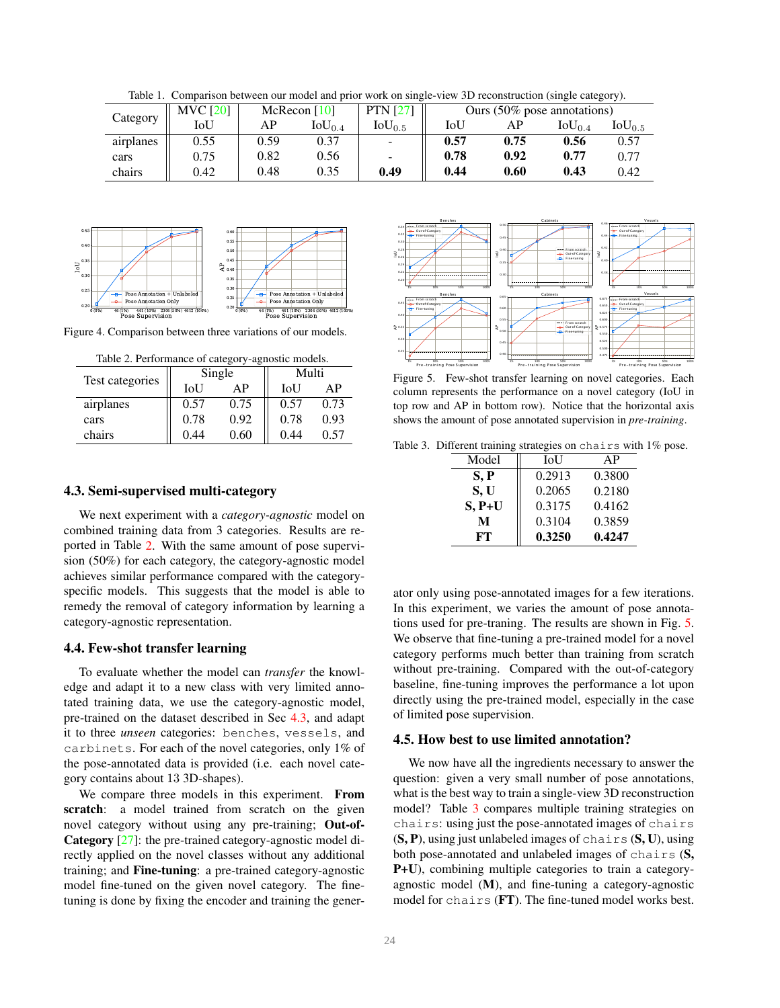Table 1. Comparison between our model and prior work on single-view 3D reconstruction (single category).

|           | <b>MVC [20]</b> | McRecon $[10]$ |                 | <b>PTN</b> [27]          | Ours (50% pose annotations) |      |             |             |
|-----------|-----------------|----------------|-----------------|--------------------------|-----------------------------|------|-------------|-------------|
| Category  | IoU             | AP             | $\rm IoU_{0.4}$ | $\rm IoU_{0.5}$          | IoU                         | AP   | $IoU_{0.4}$ | $IoU_{0.5}$ |
| airplanes | 0.55            | 0.59           | 0.37            |                          | 0.57                        | 0.75 | 0.56        | 0.57        |
| cars      | 0.75            | 0.82           | 0.56            | $\overline{\phantom{a}}$ | 0.78                        | 0.92 | 0.77        | 0.77        |
| chairs    | 0.42            | 0.48           | 0.35            | 0.49                     | 0.44                        | 0.60 | 0.43        | 0.42        |



Figure 4. Comparison between three variations of our models.

| Table 2. Performance of category-agnostic models. |      |        |       |      |  |  |  |  |
|---------------------------------------------------|------|--------|-------|------|--|--|--|--|
|                                                   |      | Single | Multi |      |  |  |  |  |
| Test categories                                   | IoU  | ΑP     | IoU   | ΑP   |  |  |  |  |
| airplanes                                         | 0.57 | 0.75   | 0.57  | 0.73 |  |  |  |  |
| cars                                              | 0.78 | 0.92   | 0.78  | 0.93 |  |  |  |  |
| chairs                                            | 0.44 | 0.60   | 0.44  | 0.57 |  |  |  |  |

#### 4.3. Semi-supervised multi-category

We next experiment with a *category-agnostic* model on combined training data from 3 categories. Results are reported in Table 2. With the same amount of pose supervision (50%) for each category, the category-agnostic model achieves similar performance compared with the categoryspecific models. This suggests that the model is able to remedy the removal of category information by learning a category-agnostic representation.

#### 4.4. Few-shot transfer learning

To evaluate whether the model can *transfer* the knowledge and adapt it to a new class with very limited annotated training data, we use the category-agnostic model, pre-trained on the dataset described in Sec 4.3, and adapt it to three *unseen* categories: benches, vessels, and carbinets. For each of the novel categories, only 1% of the pose-annotated data is provided (i.e. each novel category contains about 13 3D-shapes).

We compare three models in this experiment. From scratch: a model trained from scratch on the given novel category without using any pre-training; Out-of-Category [27]: the pre-trained category-agnostic model directly applied on the novel classes without any additional training; and Fine-tuning: a pre-trained category-agnostic model fine-tuned on the given novel category. The finetuning is done by fixing the encoder and training the gener-



Figure 5. Few-shot transfer learning on novel categories. Each column represents the performance on a novel category (IoU in top row and AP in bottom row). Notice that the horizontal axis shows the amount of pose annotated supervision in *pre-training*.

Table 3. Different training strategies on chairs with 1% pose.

| Model    | <b>IoU</b> | AP     |
|----------|------------|--------|
| S, P     | 0.2913     | 0.3800 |
| S, U     | 0.2065     | 0.2180 |
| $S, P+U$ | 0.3175     | 0.4162 |
| М        | 0.3104     | 0.3859 |
| FT.      | 0.3250     | 0.4247 |

ator only using pose-annotated images for a few iterations. In this experiment, we varies the amount of pose annotations used for pre-traning. The results are shown in Fig. 5. We observe that fine-tuning a pre-trained model for a novel category performs much better than training from scratch without pre-training. Compared with the out-of-category baseline, fine-tuning improves the performance a lot upon directly using the pre-trained model, especially in the case of limited pose supervision.

#### 4.5. How best to use limited annotation?

We now have all the ingredients necessary to answer the question: given a very small number of pose annotations, what is the best way to train a single-view 3D reconstruction model? Table 3 compares multiple training strategies on chairs: using just the pose-annotated images of chairs  $(S, P)$ , using just unlabeled images of chairs  $(S, U)$ , using both pose-annotated and unlabeled images of chairs (S, P+U), combining multiple categories to train a categoryagnostic model (M), and fine-tuning a category-agnostic model for chairs (FT). The fine-tuned model works best.